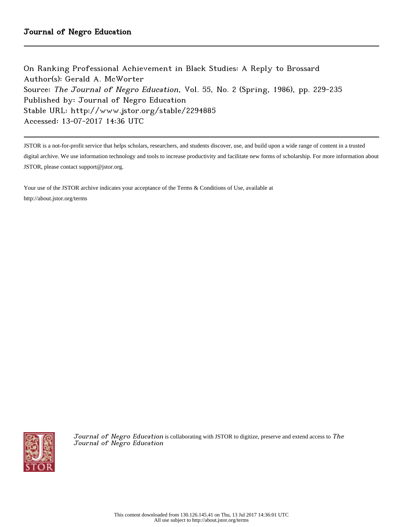On Ranking Professional Achievement in Black Studies: A Reply to Brossard Author(s): Gerald A. McWorter Source: The Journal of Negro Education, Vol. 55, No. 2 (Spring, 1986), pp. 229-235 Published by: Journal of Negro Education Stable URL: http://www.jstor.org/stable/2294885 Accessed: 13-07-2017 14:36 UTC

JSTOR is a not-for-profit service that helps scholars, researchers, and students discover, use, and build upon a wide range of content in a trusted

digital archive. We use information technology and tools to increase productivity and facilitate new forms of scholarship. For more information about JSTOR, please contact support@jstor.org.

Your use of the JSTOR archive indicates your acceptance of the Terms & Conditions of Use, available at http://about.jstor.org/terms



Journal of Negro Education is collaborating with JSTOR to digitize, preserve and extend access to The Journal of Negro Education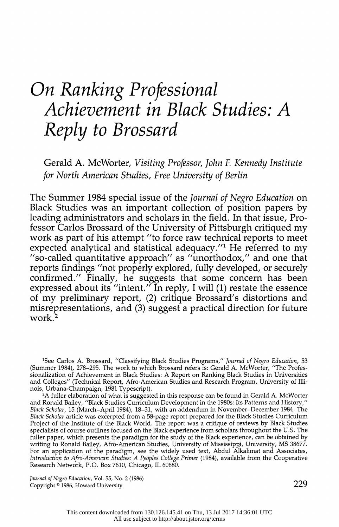# On Ranking Professional Achievement in Black Studies: A Reply to Brossard

 Gerald A. McWorter, Visiting Professor, John F. Kennedy Institute for North American Studies, Free University of Berlin

 The Summer 1984 special issue of the Journal of Negro Education on Black Studies was an important collection of position papers by leading administrators and scholars in the field. In that issue, Pro fessor Carlos Brossard of the University of Pittsburgh critiqued my work as part of his attempt "to force raw technical reports to meet expected analytical and statistical adequacy."<sup>1</sup> He referred to my "so-called quantitative approach" as "unorthodox," and one that reports findings "not properly explored, fully developed, or securely confirmed." Finally, he suggests that some concern has been expressed about its "intent." In reply, I will (1) restate the essence of my preliminary report, (2) critique Brossard's distortions and misrepresentations, and (3) suggest a practical direction for future work.<sup>2</sup>

<sup>1</sup>See Carlos A. Brossard, "Classifying Black Studies Programs," Journal of Negro Education, 53 (Summer 1984), 278-295. The work to which Brossard refers is: Gerald A. McWorter, "The Profes sionalization of Achievement in Black Studies: A Report on Ranking Black Studies in Universities and Colleges" (Technical Report, Afro-American Studies and Research Program, University of Illi nois, Urbana-Champaign, 1981 Typescript).

<sup>2</sup>A fuller elaboration of what is suggested in this response can be found in Gerald A. McWorter and Ronald Bailey, "Black Studies Curriculum Development in the 1980s: Its Patterns and History," Black Scholar, 15 (March-April 1984), 18-31, with an addendum in November-December 1984. The Black Scholar article was excerpted from a 58-page report prepared for the Black Studies Curriculum Project of the Institute of the Black World. The report was a critique of reviews by Black Studies specialists of course outlines focused on the Black experience from scholars throughout the U.S. The fuller paper, which presents the paradigm for the study of the Black experience, can be obtained by writing to Ronald Bailey, Afro-American Studies, University of Mississippi, University, MS 38677. For an application of the paradigm, see the widely used text, Abdul Alkalimat and Associates, Introduction to Afro-American Studies: A Peoples College Primer (1984), available from the Cooperative Research Network, P.O. Box 7610, Chicago, IL 60680.

 Journal of Negro Education, Vol. 55, No. 2 (1986) Copyright <sup>®</sup> 1986, Howard University 200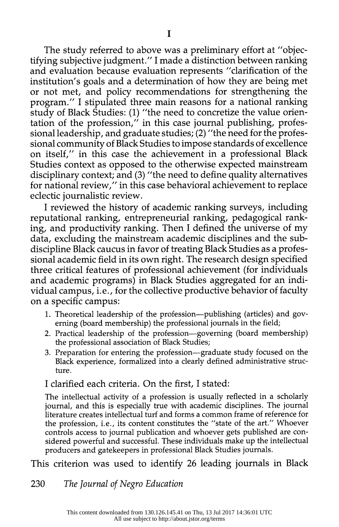The study referred to above was a preliminary effort at "objec tifying subjective judgment." I made a distinction between ranking and evaluation because evaluation represents "clarification of the institution's goals and a determination of how they are being met or not met, and policy recommendations for strengthening the program." I stipulated three main reasons for a national ranking study of Black Studies: (1) "the need to concretize the value orien tation of the profession," in this case journal publishing, profes sional leadership, and graduate studies; (2) "the need for the profes sional community of Black Studies to impose standards of excellence on itself," in this case the achievement in a professional Black Studies context as opposed to the otherwise expected mainstream disciplinary context; and (3) "the need to define quality alternatives for national review," in this case behavioral achievement to replace eclectic journalistic review.

 I reviewed the history of academic ranking surveys, including reputational ranking, entrepreneurial ranking, pedagogical rank ing, and productivity ranking. Then I defined the universe of my data, excluding the mainstream academic disciplines and the sub discipline Black caucus in favor of treating Black Studies as a profes sional academic field in its own right. The research design specified three critical features of professional achievement (for individuals and academic programs) in Black Studies aggregated for an indi vidual campus, i.e., for the collective productive behavior of faculty on a specific campus:

- 1. Theoretical leadership of the profession—publishing (articles) and governing (board membership) the professional journals in the field;
- 2. Practical leadership of the profession—governing (board membership) the professional association of Black Studies;
- 3. Preparation for entering the profession—graduate study focused on the Black experience, formalized into a clearly defined administrative struc ture.

## I clarified each criteria. On the first, I stated:

 The intellectual activity of a profession is usually reflected in a scholarly journal, and this is especially true with academic disciplines. The journal literature creates intellectual turf and forms a common frame of reference for the profession, i.e., its content constitutes the "state of the art." Whoever controls access to journal publication and whoever gets published are con sidered powerful and successful. These individuals make up the intellectual producers and gatekeepers in professional Black Studies journals.

This criterion was used to identify 26 leading journals in Black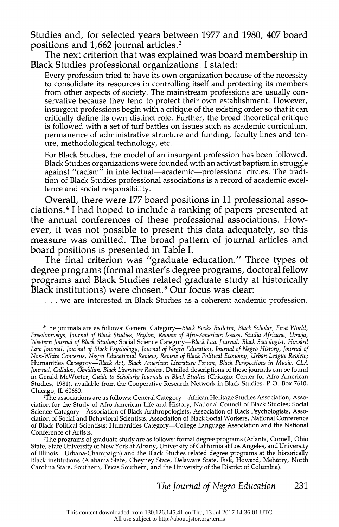Studies and, for selected years between 1977 and 1980, 407 board positions and 1,662 journal articles.3

 The next criterion that was explained was board membership in Black Studies professional organizations. I stated:

 Every profession tried to have its own organization because of the necessity to consolidate its resources in controlling itself and protecting its members from other aspects of society. The mainstream professions are usually con servative because they tend to protect their own establishment. However, insurgent professions begin with a critique of the existing order so that it can critically define its own distinct role. Further, the broad theoretical critique is followed with a set of turf battles on issues such as academic curriculum, permanence of administrative structure and funding, faculty lines and ten ure, methodological technology, etc.

 For Black Studies, the model of an insurgent profession has been followed. Black Studies organizations were founded with an activist baptism in struggle against "racism" in intellectual-academic-professional circles. The tradi tion of Black Studies professional associations is a record of academic excel lence and social responsibility.

 Overall, there were 177 board positions in 11 professional asso ciations.4 I had hoped to include a ranking of papers presented at the annual conferences of these professional associations. How ever, it was not possible to present this data adequately, so this measure was omitted. The broad pattern of journal articles and board positions is presented in Table I.

 The final criterion was "graduate education." Three types of degree programs (formal master's degree programs, doctoral fellow programs and Black Studies related graduate study at historically Black institutions) were chosen.<sup>5</sup> Our focus was clear:

. . .we are interested in Black Studies as a coherent academic profession.

 4The associations are as follows: General Category-African Heritage Studies Association, Asso ciation for the Study of Afro-American Life and History, National Council of Black Studies; Social Science Category-Association of Black Anthropologists, Association of Black Psychologists, Asso ciation of Social and Behavioral Scientists, Association of Black Social Workers, National Conference of Black Political Scientists; Humanities Category-College Language Association and the National Conference of Artists.

 5The programs of graduate study are as follows: formal degree programs (Atlanta, Cornell, Ohio State, State University of New York at Albany, University of California at Los Angeles, and University of Illinois-Urbana-Champaign) and the Black Studies related degree programs at the historically Black institutions (Alabama State, Cheyney State, Delaware State, Fisk, Howard, Meharry, North Carolina State, Southern, Texas Southern, and the University of the District of Columbia).

<sup>&</sup>lt;sup>3</sup>The journals are as follows: General Category—Black Books Bulletin, Black Scholar, First World, Freedomways, Journal of Black Studies, Phylon, Review of Afro-American Issues, Studia Africana, Umoja, Western Journal of Black Studies; Social Science Category-Black Law Journal, Black Sociologist, Howard Law Journal, Journal of Black Psychology, Journal of Negro Education, Journal of Negro History, Journal of Non-White Concerns, Negro Educational Review, Review of Black Political Economy, Urban League Review; Humanities Category-Black Art, Black American Literature Forum, Black Perspectives in Music, CLA Journal, Callaloo, Obsidian: Black Literature Review. Detailed descriptions of these journals can be found in Gerald McWorter, Guide to Scholarly Journals in Black Studies (Chicago: Center for Afro-American Studies, 1981), available from the Cooperative Research Network in Black Studies, P.O. Box 7610, Chicago, IL 60680.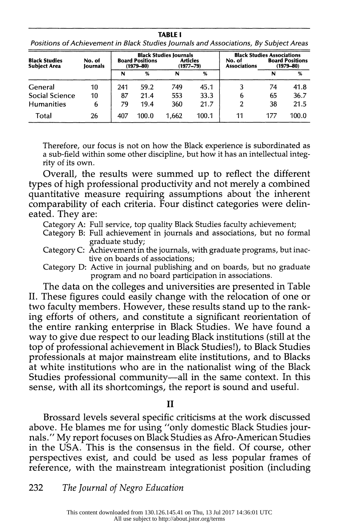TABLE I Positions of Achievement in Black Studies Journals and Associations, By Subject Areas

| <b>Black Studies</b><br><b>Subject Area</b> | No. of<br>Iournals | <b>Board Positions</b><br>$(1979 - 80)$ |       | <b>Black Studies Journals</b><br><b>Articles</b><br>$(1977 - 79)$ |       | No. of<br><b>Associations</b> | <b>Black Studies Associations</b><br><b>Board Positions</b><br>$(1979 - 80)$ |       |
|---------------------------------------------|--------------------|-----------------------------------------|-------|-------------------------------------------------------------------|-------|-------------------------------|------------------------------------------------------------------------------|-------|
|                                             |                    | N                                       | %     | N                                                                 | %     |                               | N                                                                            | %     |
| General                                     | 10                 | 241                                     | 59.2  | 749                                                               | 45.1  | 3                             | 74                                                                           | 41.8  |
| Social Science                              | 10                 | 87                                      | 21.4  | 553                                                               | 33.3  | 6                             | 65                                                                           | 36.7  |
| <b>Humanities</b>                           | 6                  | 79                                      | 19.4  | 360                                                               | 21.7  | 2                             | 38                                                                           | 21.5  |
| Total                                       | 26                 | 407                                     | 100.0 | 1.662                                                             | 100.1 | 11                            | 177                                                                          | 100.0 |

 Therefore, our focus is not on how the Black experience is subordinated as a sub-field within some other discipline, but how it has an intellectual integ rity of its own.

 Overall, the results were summed up to reflect the different types of high professional productivity and not merely a combined quantitative measure requiring assumptions about the inherent comparability of each criteria. Four distinct categories were delin eated. They are:

Category A: Full service, top quality Black Studies faculty achievement;

- Category B: Full achievement in journals and associations, but no formal graduate study;
- Category C: Achievement in the journals, with graduate programs, but inac tive on boards of associations;
- Category D: Active in journal publishing and on boards, but no graduate program and no board participation in associations.

 The data on the colleges and universities are presented in Table II. These figures could easily change with the relocation of one or two faculty members. However, these results stand up to the rank ing efforts of others, and constitute a significant reorientation of the entire ranking enterprise in Black Studies. We have found a way to give due respect to our leading Black institutions (still at the top of professional achievement in Black Studies!), to Black Studies professionals at major mainstream elite institutions, and to Blacks at white institutions who are in the nationalist wing of the Black Studies professional community-all in the same context. In this sense, with all its shortcomings, the report is sound and useful.

#### II

 Brossard levels several specific criticisms at the work discussed above. He blames me for using "only domestic Black Studies jour nals." My report focuses on Black Studies as Afro-American Studies in the USA. This is the consensus in the field. Of course, other perspectives exist, and could be used as less popular frames of reference, with the mainstream integrationist position (including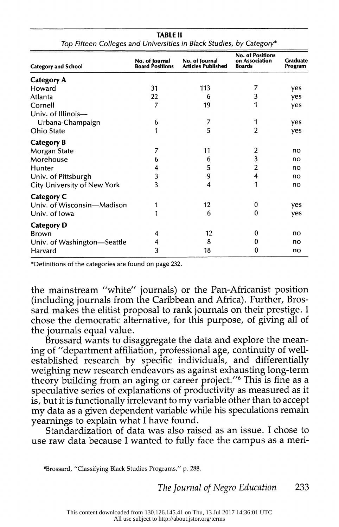| <b>Category and School</b>         | No. of Journal<br><b>Board Positions</b> | No. of Journal<br><b>Articles Published</b> | <b>No. of Positions</b><br>on Association<br><b>Boards</b> | Graduate<br>Program |
|------------------------------------|------------------------------------------|---------------------------------------------|------------------------------------------------------------|---------------------|
| <b>Category A</b>                  |                                          |                                             |                                                            |                     |
| Howard                             | 31                                       | 113                                         |                                                            | yes                 |
| Atlanta                            | 22                                       | 6                                           | 3                                                          | yes                 |
| Cornell                            | 7                                        | 19                                          | 1                                                          | yes                 |
| Univ. of Illinois-                 |                                          |                                             |                                                            |                     |
| Urbana-Champaign                   | 6                                        | 7                                           |                                                            | yes                 |
| Ohio State                         | 1                                        | 5                                           | $\overline{2}$                                             | yes                 |
| <b>Category B</b>                  |                                          |                                             |                                                            |                     |
| Morgan State                       | 7                                        | 11                                          | 2                                                          | no                  |
| Morehouse                          | 6                                        | 6                                           | 3                                                          | no                  |
| Hunter                             | 4                                        | 5                                           | 2                                                          | no                  |
| Univ. of Pittsburgh                | 3                                        | 9                                           | 4                                                          | no                  |
| <b>City University of New York</b> | 3                                        | 4                                           | 1                                                          | no                  |
| <b>Category C</b>                  |                                          |                                             |                                                            |                     |
| Univ. of Wisconsin-Madison         | 1                                        | 12                                          | 0                                                          | yes                 |
| Univ. of Iowa                      | 1                                        | 6                                           | 0                                                          | yes                 |
| <b>Category D</b>                  |                                          |                                             |                                                            |                     |
| <b>Brown</b>                       | 4                                        | 12                                          | 0                                                          | no                  |
| Univ. of Washington—Seattle        | 4                                        | 8                                           | 0                                                          | no                  |
| Harvard                            | 3                                        | 18                                          | 0                                                          | no                  |

 TABLE II Top Fifteen Colleges and Universities in Black Studies, by Category\*

\*Definitions of the categories are found on page 232.

 the mainstream "white" journals) or the Pan-Africanist position (including journals from the Caribbean and Africa). Further, Bros sard makes the elitist proposal to rank journals on their prestige. I chose the democratic alternative, for this purpose, of giving all of the journals equal value.

 Brossard wants to disaggregate the data and explore the mean ing of "department affiliation, professional age, continuity of well established research by specific individuals, and differentially weighing new research endeavors as against exhausting long-term theory building from an aging or career project."<sup>6</sup> This is fine as a speculative series of explanations of productivity as measured as it is, but it is functionally irrelevant to my variable other than to accept my data as a given dependent variable while his speculations remain yearnings to explain what I have found.

 Standardization of data was also raised as an issue. I chose to use raw data because I wanted to fully face the campus as a meri-

6Brossard, "Classifying Black Studies Programs," p. 288.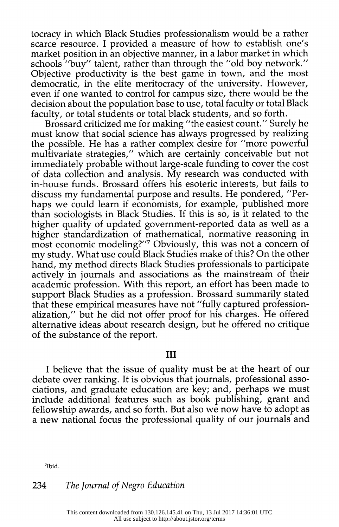tocracy in which Black Studies professionalism would be a rather scarce resource. I provided a measure of how to establish one's market position in an objective manner, in a labor market in which schools "buy" talent, rather than through the "old boy network." Objective productivity is the best game in town, and the most democratic, in the elite meritocracy of the university. However, even if one wanted to control for campus size, there would be the decision about the population base to use, total faculty or total Black faculty, or total students or total black students, and so forth.

 Brossard criticized me for making "the easiest count." Surely he must know that social science has always progressed by realizing the possible. He has a rather complex desire for "more powerful multivariate strategies," which are certainly conceivable but not immediately probable without large-scale funding to cover the cost of data collection and analysis. My research was conducted with in-house funds. Brossard offers his esoteric interests, but fails to discuss my fundamental purpose and results. He pondered, "Per haps we could learn if economists, for example, published more than sociologists in Black Studies. If this is so, is it related to the higher quality of updated government-reported data as well as a higher standardization of mathematical, normative reasoning in most economic modeling?"7 Obviously, this was not a concern of my study. What use could Black Studies make of this? On the other hand, my method directs Black Studies professionals to participate actively in journals and associations as the mainstream of their academic profession. With this report, an effort has been made to support Black Studies as a profession. Brossard summarily stated that these empirical measures have not "fully captured profession alization," but he did not offer proof for his charges. He offered alternative ideas about research design, but he offered no critique of the substance of the report.

### III

 I believe that the issue of quality must be at the heart of our debate over ranking. It is obvious that journals, professional asso ciations, and graduate education are key; and, perhaps we must include additional features such as book publishing, grant and fellowship awards, and so forth. But also we now have to adopt as a new national focus the professional quality of our journals and

7Ibid.